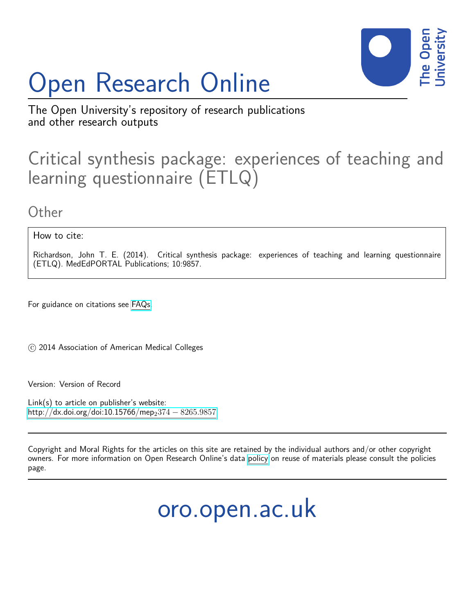# Open Research Online



The Open University's repository of research publications and other research outputs

## Critical synthesis package: experiences of teaching and learning questionnaire (ETLQ)

**Other** 

How to cite:

Richardson, John T. E. (2014). Critical synthesis package: experiences of teaching and learning questionnaire (ETLQ). MedEdPORTAL Publications; 10:9857.

For guidance on citations see [FAQs.](http://oro.open.ac.uk/help/helpfaq.html)

c 2014 Association of American Medical Colleges

Version: Version of Record

Link(s) to article on publisher's website: [http://dx.doi.org/doi:10.15766/mep](http://dx.doi.org/doi:10.15766/mep_2374-8265.9857)<sub>2</sub>374 – 8265.9857

Copyright and Moral Rights for the articles on this site are retained by the individual authors and/or other copyright owners. For more information on Open Research Online's data [policy](http://oro.open.ac.uk/policies.html) on reuse of materials please consult the policies page.

oro.open.ac.uk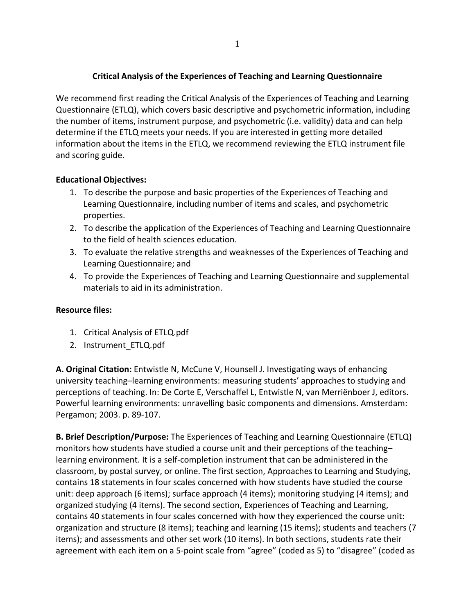### **Critical Analysis of the Experiences of Teaching and Learning Questionnaire**

We recommend first reading the Critical Analysis of the Experiences of Teaching and Learning Questionnaire (ETLQ), which covers basic descriptive and psychometric information, including the number of items, instrument purpose, and psychometric (i.e. validity) data and can help determine if the ETLQ meets your needs. If you are interested in getting more detailed information about the items in the ETLQ, we recommend reviewing the ETLQ instrument file and scoring guide.

#### **Educational Objectives:**

- 1. To describe the purpose and basic properties of the Experiences of Teaching and Learning Questionnaire, including number of items and scales, and psychometric properties.
- 2. To describe the application of the Experiences of Teaching and Learning Questionnaire to the field of health sciences education.
- 3. To evaluate the relative strengths and weaknesses of the Experiences of Teaching and Learning Questionnaire; and
- 4. To provide the Experiences of Teaching and Learning Questionnaire and supplemental materials to aid in its administration.

#### **Resource files:**

- 1. Critical Analysis of ETLQ.pdf
- 2. Instrument\_ETLQ.pdf

**A. Original Citation:** Entwistle N, McCune V, Hounsell J. Investigating ways of enhancing university teaching–learning environments: measuring students' approaches to studying and perceptions of teaching. In: De Corte E, Verschaffel L, Entwistle N, van Merriënboer J, editors. Powerful learning environments: unravelling basic components and dimensions. Amsterdam: Pergamon; 2003. p. 89‐107.

**B. Brief Description/Purpose:** The Experiences of Teaching and Learning Questionnaire (ETLQ) monitors how students have studied a course unit and their perceptions of the teaching– learning environment. It is a self‐completion instrument that can be administered in the classroom, by postal survey, or online. The first section, Approaches to Learning and Studying, contains 18 statements in four scales concerned with how students have studied the course unit: deep approach (6 items); surface approach (4 items); monitoring studying (4 items); and organized studying (4 items). The second section, Experiences of Teaching and Learning, contains 40 statements in four scales concerned with how they experienced the course unit: organization and structure (8 items); teaching and learning (15 items); students and teachers (7 items); and assessments and other set work (10 items). In both sections, students rate their agreement with each item on a 5‐point scale from "agree" (coded as 5) to "disagree" (coded as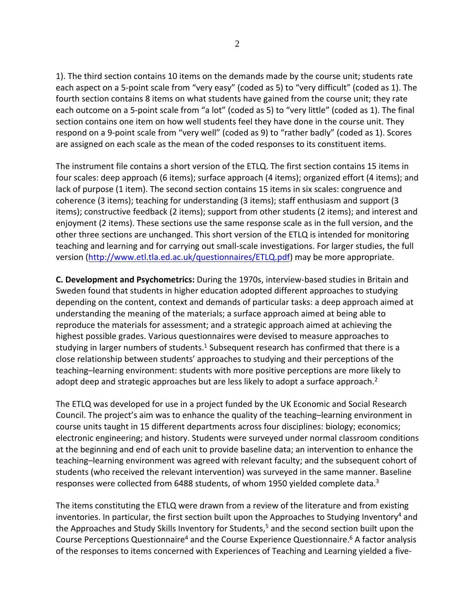1). The third section contains 10 items on the demands made by the course unit; students rate each aspect on a 5‐point scale from "very easy" (coded as 5) to "very difficult" (coded as 1). The fourth section contains 8 items on what students have gained from the course unit; they rate each outcome on a 5-point scale from "a lot" (coded as 5) to "very little" (coded as 1). The final section contains one item on how well students feel they have done in the course unit. They respond on a 9‐point scale from "very well" (coded as 9) to "rather badly" (coded as 1). Scores are assigned on each scale as the mean of the coded responses to its constituent items.

The instrument file contains a short version of the ETLQ. The first section contains 15 items in four scales: deep approach (6 items); surface approach (4 items); organized effort (4 items); and lack of purpose (1 item). The second section contains 15 items in six scales: congruence and coherence (3 items); teaching for understanding (3 items); staff enthusiasm and support (3 items); constructive feedback (2 items); support from other students (2 items); and interest and enjoyment (2 items). These sections use the same response scale as in the full version, and the other three sections are unchanged. This short version of the ETLQ is intended for monitoring teaching and learning and for carrying out small‐scale investigations. For larger studies, the full version (http://www.etl.tla.ed.ac.uk/questionnaires/ETLQ.pdf) may be more appropriate.

**C. Development and Psychometrics:** During the 1970s, interview‐based studies in Britain and Sweden found that students in higher education adopted different approaches to studying depending on the content, context and demands of particular tasks: a deep approach aimed at understanding the meaning of the materials; a surface approach aimed at being able to reproduce the materials for assessment; and a strategic approach aimed at achieving the highest possible grades. Various questionnaires were devised to measure approaches to studying in larger numbers of students.<sup>1</sup> Subsequent research has confirmed that there is a close relationship between students' approaches to studying and their perceptions of the teaching–learning environment: students with more positive perceptions are more likely to adopt deep and strategic approaches but are less likely to adopt a surface approach.<sup>2</sup>

The ETLQ was developed for use in a project funded by the UK Economic and Social Research Council. The project's aim was to enhance the quality of the teaching–learning environment in course units taught in 15 different departments across four disciplines: biology; economics; electronic engineering; and history. Students were surveyed under normal classroom conditions at the beginning and end of each unit to provide baseline data; an intervention to enhance the teaching–learning environment was agreed with relevant faculty; and the subsequent cohort of students (who received the relevant intervention) was surveyed in the same manner. Baseline responses were collected from 6488 students, of whom 1950 yielded complete data.3

The items constituting the ETLQ were drawn from a review of the literature and from existing inventories. In particular, the first section built upon the Approaches to Studying Inventory<sup>4</sup> and the Approaches and Study Skills Inventory for Students,<sup>5</sup> and the second section built upon the Course Perceptions Questionnaire<sup>4</sup> and the Course Experience Questionnaire.<sup>6</sup> A factor analysis of the responses to items concerned with Experiences of Teaching and Learning yielded a five‐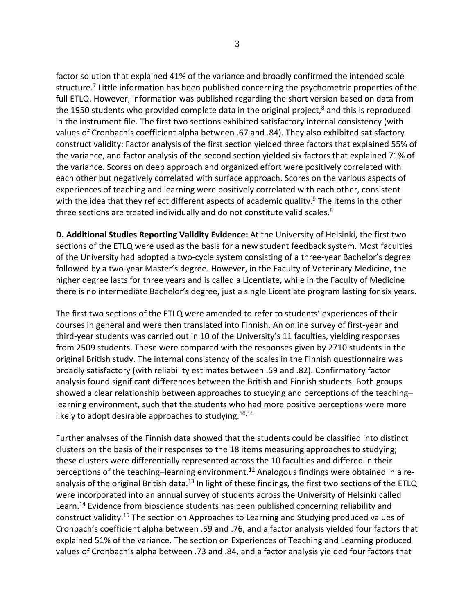factor solution that explained 41% of the variance and broadly confirmed the intended scale structure.<sup>7</sup> Little information has been published concerning the psychometric properties of the full ETLQ. However, information was published regarding the short version based on data from the 1950 students who provided complete data in the original project, $8$  and this is reproduced in the instrument file. The first two sections exhibited satisfactory internal consistency (with values of Cronbach's coefficient alpha between .67 and .84). They also exhibited satisfactory construct validity: Factor analysis of the first section yielded three factors that explained 55% of the variance, and factor analysis of the second section yielded six factors that explained 71% of the variance. Scores on deep approach and organized effort were positively correlated with each other but negatively correlated with surface approach. Scores on the various aspects of experiences of teaching and learning were positively correlated with each other, consistent with the idea that they reflect different aspects of academic quality.<sup>9</sup> The items in the other three sections are treated individually and do not constitute valid scales.<sup>8</sup>

**D. Additional Studies Reporting Validity Evidence:** At the University of Helsinki, the first two sections of the ETLQ were used as the basis for a new student feedback system. Most faculties of the University had adopted a two‐cycle system consisting of a three‐year Bachelor's degree followed by a two‐year Master's degree. However, in the Faculty of Veterinary Medicine, the higher degree lasts for three years and is called a Licentiate, while in the Faculty of Medicine there is no intermediate Bachelor's degree, just a single Licentiate program lasting for six years.

The first two sections of the ETLQ were amended to refer to students' experiences of their courses in general and were then translated into Finnish. An online survey of first‐year and third‐year students was carried out in 10 of the University's 11 faculties, yielding responses from 2509 students. These were compared with the responses given by 2710 students in the original British study. The internal consistency of the scales in the Finnish questionnaire was broadly satisfactory (with reliability estimates between .59 and .82). Confirmatory factor analysis found significant differences between the British and Finnish students. Both groups showed a clear relationship between approaches to studying and perceptions of the teaching– learning environment, such that the students who had more positive perceptions were more likely to adopt desirable approaches to studying. $10,11$ 

Further analyses of the Finnish data showed that the students could be classified into distinct clusters on the basis of their responses to the 18 items measuring approaches to studying; these clusters were differentially represented across the 10 faculties and differed in their perceptions of the teaching–learning environment.<sup>12</sup> Analogous findings were obtained in a reanalysis of the original British data.<sup>13</sup> In light of these findings, the first two sections of the ETLQ were incorporated into an annual survey of students across the University of Helsinki called Learn.<sup>14</sup> Evidence from bioscience students has been published concerning reliability and construct validity.15 The section on Approaches to Learning and Studying produced values of Cronbach's coefficient alpha between .59 and .76, and a factor analysis yielded four factors that explained 51% of the variance. The section on Experiences of Teaching and Learning produced values of Cronbach's alpha between .73 and .84, and a factor analysis yielded four factors that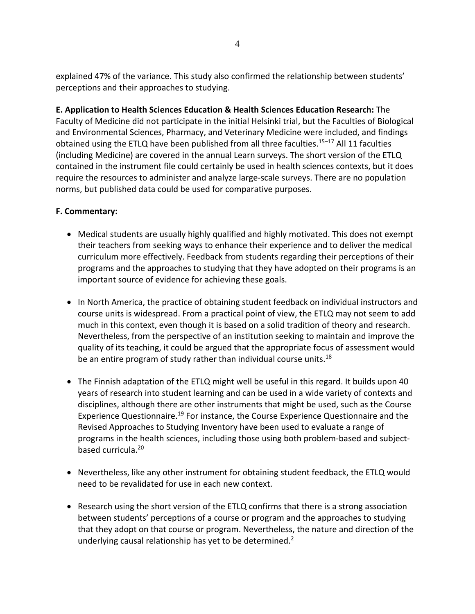explained 47% of the variance. This study also confirmed the relationship between students' perceptions and their approaches to studying.

**E. Application to Health Sciences Education & Health Sciences Education Research:** The Faculty of Medicine did not participate in the initial Helsinki trial, but the Faculties of Biological and Environmental Sciences, Pharmacy, and Veterinary Medicine were included, and findings obtained using the ETLQ have been published from all three faculties.<sup>15-17</sup> All 11 faculties (including Medicine) are covered in the annual Learn surveys. The short version of the ETLQ contained in the instrument file could certainly be used in health sciences contexts, but it does require the resources to administer and analyze large‐scale surveys. There are no population norms, but published data could be used for comparative purposes.

### **F. Commentary:**

- Medical students are usually highly qualified and highly motivated. This does not exempt their teachers from seeking ways to enhance their experience and to deliver the medical curriculum more effectively. Feedback from students regarding their perceptions of their programs and the approaches to studying that they have adopted on their programs is an important source of evidence for achieving these goals.
- In North America, the practice of obtaining student feedback on individual instructors and course units is widespread. From a practical point of view, the ETLQ may not seem to add much in this context, even though it is based on a solid tradition of theory and research. Nevertheless, from the perspective of an institution seeking to maintain and improve the quality of its teaching, it could be argued that the appropriate focus of assessment would be an entire program of study rather than individual course units.<sup>18</sup>
- The Finnish adaptation of the ETLQ might well be useful in this regard. It builds upon 40 years of research into student learning and can be used in a wide variety of contexts and disciplines, although there are other instruments that might be used, such as the Course Experience Questionnaire.19 For instance, the Course Experience Questionnaire and the Revised Approaches to Studying Inventory have been used to evaluate a range of programs in the health sciences, including those using both problem‐based and subject‐ based curricula.20
- Nevertheless, like any other instrument for obtaining student feedback, the ETLQ would need to be revalidated for use in each new context.
- Research using the short version of the ETLQ confirms that there is a strong association between students' perceptions of a course or program and the approaches to studying that they adopt on that course or program. Nevertheless, the nature and direction of the underlying causal relationship has yet to be determined.<sup>2</sup>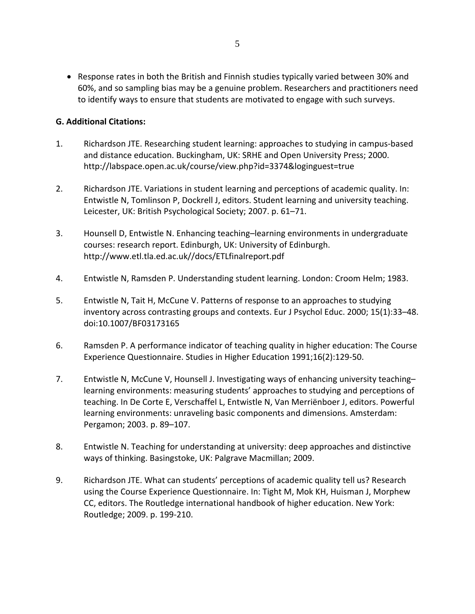Response rates in both the British and Finnish studies typically varied between 30% and 60%, and so sampling bias may be a genuine problem. Researchers and practitioners need to identify ways to ensure that students are motivated to engage with such surveys.

#### **G. Additional Citations:**

- 1. Richardson JTE. Researching student learning: approaches to studying in campus‐based and distance education. Buckingham, UK: SRHE and Open University Press; 2000. http://labspace.open.ac.uk/course/view.php?id=3374&loginguest=true
- 2. Richardson JTE. Variations in student learning and perceptions of academic quality. In: Entwistle N, Tomlinson P, Dockrell J, editors. Student learning and university teaching. Leicester, UK: British Psychological Society; 2007. p. 61–71.
- 3. Hounsell D, Entwistle N. Enhancing teaching–learning environments in undergraduate courses: research report. Edinburgh, UK: University of Edinburgh. http://www.etl.tla.ed.ac.uk//docs/ETLfinalreport.pdf
- 4. Entwistle N, Ramsden P. Understanding student learning. London: Croom Helm; 1983.
- 5. Entwistle N, Tait H, McCune V. Patterns of response to an approaches to studying inventory across contrasting groups and contexts. Eur J Psychol Educ. 2000; 15(1):33–48. doi:10.1007/BF03173165
- 6. Ramsden P. A performance indicator of teaching quality in higher education: The Course Experience Questionnaire. Studies in Higher Education 1991;16(2):129‐50.
- 7. Entwistle N, McCune V, Hounsell J. Investigating ways of enhancing university teaching– learning environments: measuring students' approaches to studying and perceptions of teaching. In De Corte E, Verschaffel L, Entwistle N, Van Merriënboer J, editors. Powerful learning environments: unraveling basic components and dimensions. Amsterdam: Pergamon; 2003. p. 89–107.
- 8. Entwistle N. Teaching for understanding at university: deep approaches and distinctive ways of thinking. Basingstoke, UK: Palgrave Macmillan; 2009.
- 9. Richardson JTE. What can students' perceptions of academic quality tell us? Research using the Course Experience Questionnaire. In: Tight M, Mok KH, Huisman J, Morphew CC, editors. The Routledge international handbook of higher education. New York: Routledge; 2009. p. 199‐210.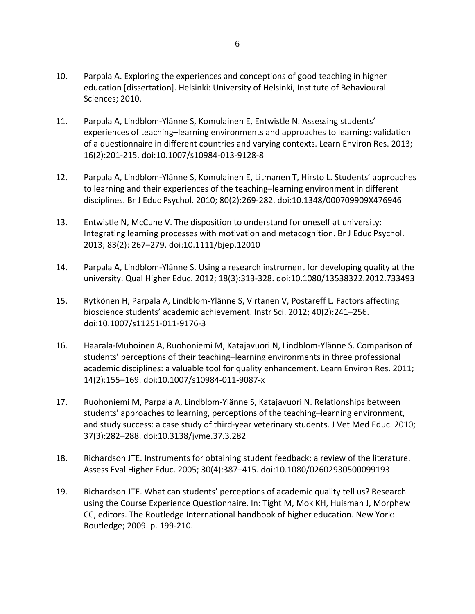- 10. Parpala A. Exploring the experiences and conceptions of good teaching in higher education [dissertation]. Helsinki: University of Helsinki, Institute of Behavioural Sciences; 2010.
- 11. Parpala A, Lindblom‐Ylänne S, Komulainen E, Entwistle N. Assessing students' experiences of teaching–learning environments and approaches to learning: validation of a questionnaire in different countries and varying contexts. Learn Environ Res. 2013; 16(2):201‐215. doi:10.1007/s10984‐013‐9128‐8
- 12. Parpala A, Lindblom‐Ylänne S, Komulainen E, Litmanen T, Hirsto L. Students' approaches to learning and their experiences of the teaching–learning environment in different disciplines. Br J Educ Psychol. 2010; 80(2):269‐282. doi:10.1348/000709909X476946
- 13. Entwistle N, McCune V. The disposition to understand for oneself at university: Integrating learning processes with motivation and metacognition. Br J Educ Psychol. 2013; 83(2): 267–279. doi:10.1111/bjep.12010
- 14. Parpala A, Lindblom-Ylänne S. Using a research instrument for developing quality at the university. Qual Higher Educ. 2012; 18(3):313‐328. doi:10.1080/13538322.2012.733493
- 15. Rytkönen H, Parpala A, Lindblom‐Ylänne S, Virtanen V, Postareff L. Factors affecting bioscience students' academic achievement. Instr Sci. 2012; 40(2):241–256. doi:10.1007/s11251‐011‐9176‐3
- 16. Haarala‐Muhoinen A, Ruohoniemi M, Katajavuori N, Lindblom‐Ylänne S. Comparison of students' perceptions of their teaching–learning environments in three professional academic disciplines: a valuable tool for quality enhancement. Learn Environ Res. 2011; 14(2):155–169. doi:10.1007/s10984‐011‐9087‐x
- 17. Ruohoniemi M, Parpala A, Lindblom-Ylänne S, Katajavuori N. Relationships between students' approaches to learning, perceptions of the teaching–learning environment, and study success: a case study of third‐year veterinary students. J Vet Med Educ. 2010; 37(3):282–288. doi:10.3138/jvme.37.3.282
- 18. Richardson JTE. Instruments for obtaining student feedback: a review of the literature. Assess Eval Higher Educ. 2005; 30(4):387–415. doi:10.1080/02602930500099193
- 19. Richardson JTE. What can students' perceptions of academic quality tell us? Research using the Course Experience Questionnaire. In: Tight M, Mok KH, Huisman J, Morphew CC, editors. The Routledge International handbook of higher education. New York: Routledge; 2009. p. 199‐210.